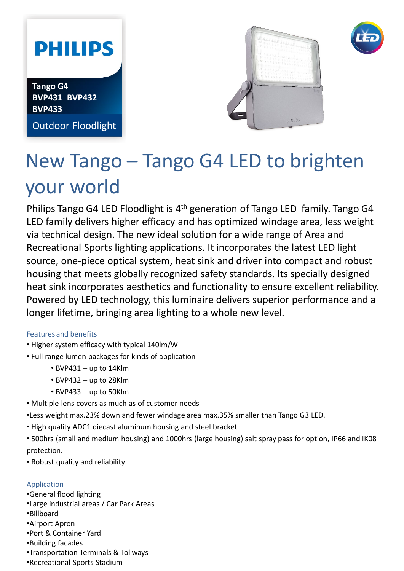### **PHILIPS**

**Tango G4 BVP431 BVP432 BVP433**

Outdoor Floodlight





## New Tango – Tango G4 LED to brighten your world

Philips Tango G4 LED Floodlight is 4<sup>th</sup> generation of Tango LED family. Tango G4 LED family delivers higher efficacy and has optimized windage area, less weight via technical design. The new ideal solution for a wide range of Area and Recreational Sports lighting applications. It incorporates the latest LED light source, one-piece optical system, heat sink and driver into compact and robust housing that meets globally recognized safety standards. Its specially designed heat sink incorporates aesthetics and functionality to ensure excellent reliability. Powered by LED technology, this luminaire delivers superior performance and a longer lifetime, bringing area lighting to a whole new level.

#### Features and benefits

- Higher system efficacy with typical 140lm/W
- Full range lumen packages for kinds of application
	- BVP431 up to 14Klm
	- BVP432 up to 28Klm
	- BVP433 up to 50Klm
- Multiple lens covers as much as of customer needs
- •Less weight max.23% down and fewer windage area max.35% smaller than Tango G3 LED.
- High quality ADC1 diecast aluminum housing and steel bracket

• 500hrs (small and medium housing) and 1000hrs (large housing) salt spray pass for option, IP66 and IK08 protection.

• Robust quality and reliability

#### Application

- •General flood lighting
- •Large industrial areas / Car Park Areas
- •Billboard
- •Airport Apron
- •Port & Container Yard
- •Building facades
- •Transportation Terminals & Tollways
- •Recreational Sports Stadium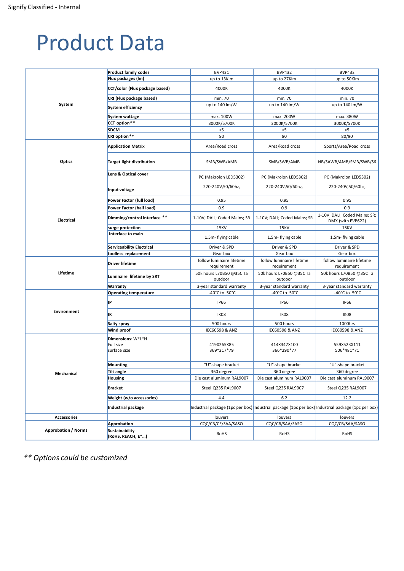## Product Data

| System                     | Product family codes                           | <b>BVP431</b>                            | <b>BVP432</b>                            | <b>BVP433</b>                                                                                      |
|----------------------------|------------------------------------------------|------------------------------------------|------------------------------------------|----------------------------------------------------------------------------------------------------|
|                            | Flux packages (Im)                             | up to 13Klm                              | up to 27Klm                              | up to 50Klm                                                                                        |
|                            | CCT/color (Flux package based)                 | 4000K                                    | 4000K                                    | 4000K                                                                                              |
|                            | CRI (Flux package based)                       | min. 70                                  | min. 70                                  | min. 70                                                                                            |
|                            | System efficiency                              | up to 140 lm/W                           | up to 140 lm/W                           | up to 140 lm/W                                                                                     |
|                            | System wattage                                 | max. 100W                                | max. 200W                                | max. 380W                                                                                          |
|                            | CCT option**                                   | 3000K/5700K                              | 3000K/5700K                              | 3000K/5700K                                                                                        |
|                            | <b>SDCM</b>                                    | $<$ 5                                    | $<$ 5                                    | $<$ 5                                                                                              |
|                            | CRI option**                                   | 80                                       | 80                                       | 80/90                                                                                              |
| <b>Optics</b>              | <b>Application Metrix</b>                      | Area/Road cross                          | Area/Road cross                          | Sports/Area/Road cross                                                                             |
|                            | <b>Target light distribution</b>               | SMB/SWB/AMB                              | SMB/SWB/AMB                              | NB/SAWB/AMB/SMB/SWB/S6                                                                             |
|                            | Lens & Optical cover                           | PC (Makrolon LED5302)                    | PC (Makrolon LED5302)                    | PC (Makrolon LED5302)                                                                              |
| <b>Electrical</b>          | Input voltage                                  | 220-240V,50/60hz,                        | 220-240V,50/60hz,                        | 220-240V,50/60hz,                                                                                  |
|                            | Power Factor (full load)                       | 0.95                                     | 0.95                                     | 0.95                                                                                               |
|                            | Power Factor (half load)                       | 0.9                                      | 0.9                                      | 0.9                                                                                                |
|                            | Dimming/control interface **                   | 1-10V; DALI; Coded Mains; SR             | 1-10V; DALI; Coded Mains; SR             | 1-10V; DALI; Coded Mains; SR;<br>DMX (with EVP622)                                                 |
|                            | surge protection                               | <b>15KV</b>                              | 15KV                                     | 15KV                                                                                               |
|                            | Interface to main                              | 1.5m- flying cable                       | 1.5m- flying cable                       | 1.5m- flying cable                                                                                 |
|                            | <b>Serviceability Electrical</b>               | Driver & SPD                             | Driver & SPD                             | Driver & SPD                                                                                       |
|                            | toolless replacement                           | Gear box                                 | Gear box                                 | Gear box                                                                                           |
| Lifetime                   | <b>Driver lifetime</b>                         | follow luminaire lifetime<br>requirement | follow luminaire lifetime<br>requirement | follow luminaire lifetime<br>requirement                                                           |
|                            | Luminaire lifetime by SRT                      | 50k hours L70B50 @35C Ta<br>outdoor      | 50k hours L70B50 @35C Ta<br>outdoor      | 50k hours L70B50 @35C Ta<br>outdoor                                                                |
|                            | <b>Warranty</b>                                | 3-year standard warranty                 | 3-year standard warranty                 | 3-year standard warranty                                                                           |
| <b>Environment</b>         | <b>Operating temperature</b>                   | -40°C to 50°C                            | -40°C to 50°C                            | -40°C to 50°C                                                                                      |
|                            | IP                                             | <b>IP66</b>                              | <b>IP66</b>                              | <b>IP66</b>                                                                                        |
|                            | IK                                             | IK08                                     | IK08                                     | IK08                                                                                               |
|                            | Salty spray                                    | 500 hours                                | 500 hours                                | 1000hrs                                                                                            |
|                            | Wind proof                                     | <b>IEC60598 &amp; ANZ</b>                | <b>IEC60598 &amp; ANZ</b>                | <b>IEC60598 &amp; ANZ</b>                                                                          |
| Mechanical                 | Dimensions: W*L*H<br>Full size<br>surface size | 419X265X85<br>369*217*79                 | 414X347X100<br>366*290*77                | 559X523X111<br>506*481*71                                                                          |
|                            | <b>Mounting</b>                                | "U"-shape bracket                        | "U"-shape bracket                        | "U"-shape bracket                                                                                  |
|                            | Tilt angle                                     | 360 degree                               | 360 degree                               | 360 degree                                                                                         |
|                            | <b>Housing</b>                                 | Die cast aluminum RAL9007                | Die cast aluminum RAL9007                | Die cast aluminum RAL9007                                                                          |
|                            | <b>Bracket</b>                                 | Steel Q235 RAL9007                       | Steel Q235 RAL9007                       | Steel Q235 RAL9007                                                                                 |
|                            | Weight (w/o accessories)                       | 4.4                                      | 6.2                                      | 12.2                                                                                               |
|                            | Industrial package                             |                                          |                                          | Industrial package (1pc per box) Industrial package (1pc per box) Industrial package (1pc per box) |
| <b>Accessories</b>         |                                                | louvers                                  | louvers                                  | louvers                                                                                            |
| <b>Approbation / Norms</b> | Approbation                                    | CQC/CB/CE/SAA/SASO                       | CQC/CB/SAA/SASO                          | CQC/CB/SAA/SASO                                                                                    |
|                            | Sustainability<br>(RoHS, REACH, E*)            | RoHS                                     | <b>RoHS</b>                              | RoHS                                                                                               |

*\*\* Options could be customized*